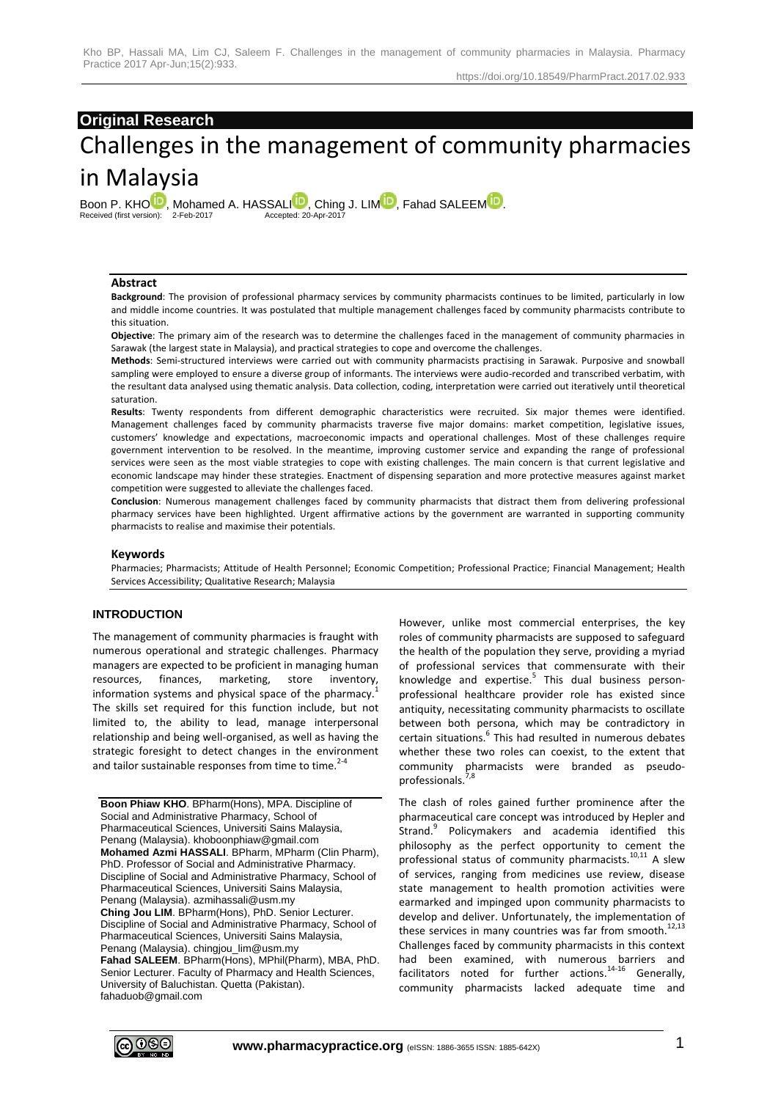#### https://doi.org/10.18549/PharmPract.2017.02.933

# **Original Research**

# Challenges in the management of community pharmacies in Malaysia

Boon P. KH[O](http://orcid.org/0000-0003-4892-8660)<sup>ID</sup>, Mohamed A. HASSA[LI](http://orcid.org/0000-0001-8269-885X)<sup>D</sup>, Ching J. LI[M](http://orcid.org/0000-0002-6026-1208)<sup>ID</sup>, Fahad SALEEM<sup>ID</sup>[.](http://orcid.org/0000-0001-8100-8992)<br>Received (first version): 2-Feb-2017<br>Accepted: 20-Apr-2017 Received (first version): 2-Feb-2017

## **Abstract**

**Background**: The provision of professional pharmacy services by community pharmacists continues to be limited, particularly in low and middle income countries. It was postulated that multiple management challenges faced by community pharmacists contribute to this situation.

**Objective**: The primary aim of the research was to determine the challenges faced in the management of community pharmacies in Sarawak (the largest state in Malaysia), and practical strategies to cope and overcome the challenges.

**Methods**: Semi-structured interviews were carried out with community pharmacists practising in Sarawak. Purposive and snowball sampling were employed to ensure a diverse group of informants. The interviews were audio-recorded and transcribed verbatim, with the resultant data analysed using thematic analysis. Data collection, coding, interpretation were carried out iteratively until theoretical saturation.

**Results**: Twenty respondents from different demographic characteristics were recruited. Six major themes were identified. Management challenges faced by community pharmacists traverse five major domains: market competition, legislative issues, customers' knowledge and expectations, macroeconomic impacts and operational challenges. Most of these challenges require government intervention to be resolved. In the meantime, improving customer service and expanding the range of professional services were seen as the most viable strategies to cope with existing challenges. The main concern is that current legislative and economic landscape may hinder these strategies. Enactment of dispensing separation and more protective measures against market competition were suggested to alleviate the challenges faced.

**Conclusion**: Numerous management challenges faced by community pharmacists that distract them from delivering professional pharmacy services have been highlighted. Urgent affirmative actions by the government are warranted in supporting community pharmacists to realise and maximise their potentials.

#### **Keywords**

Pharmacies; Pharmacists; Attitude of Health Personnel; Economic Competition; Professional Practice; Financial Management; Health Services Accessibility; Qualitative Research; Malaysia

### **INTRODUCTION**

The management of community pharmacies is fraught with numerous operational and strategic challenges. Pharmacy managers are expected to be proficient in managing human resources, finances, marketing, store inventory, information systems and physical space of the pharmacy.<sup>1</sup> The skills set required for this function include, but not limited to, the ability to lead, manage interpersonal relationship and being well-organised, as well as having the strategic foresight to detect changes in the environment and tailor sustainable responses from time to time.<sup>2-4</sup>

**Boon Phiaw KHO**. BPharm(Hons), MPA. Discipline of Social and Administrative Pharmacy, School of Pharmaceutical Sciences, Universiti Sains Malaysia, Penang (Malaysia). khoboonphiaw@gmail.com **Mohamed Azmi HASSALI**. BPharm, MPharm (Clin Pharm), PhD. Professor of Social and Administrative Pharmacy. Discipline of Social and Administrative Pharmacy, School of Pharmaceutical Sciences, Universiti Sains Malaysia, Penang (Malaysia). azmihassali@usm.my **Ching Jou LIM**. BPharm(Hons), PhD. Senior Lecturer. Discipline of Social and Administrative Pharmacy, School of Pharmaceutical Sciences, Universiti Sains Malaysia, Penang (Malaysia). chingjou\_lim@usm.my **Fahad SALEEM**. BPharm(Hons), MPhil(Pharm), MBA, PhD. Senior Lecturer. Faculty of Pharmacy and Health Sciences, University of Baluchistan. Quetta (Pakistan). fahaduob@gmail.com

However, unlike most commercial enterprises, the key roles of community pharmacists are supposed to safeguard the health of the population they serve, providing a myriad of professional services that commensurate with their knowledge and expertise.<sup>5</sup> This dual business personprofessional healthcare provider role has existed since antiquity, necessitating community pharmacists to oscillate between both persona, which may be contradictory in certain situations.<sup>6</sup> This had resulted in numerous debates whether these two roles can coexist, to the extent that community pharmacists were branded as pseudoprofessionals.<sup>7,8</sup>

The clash of roles gained further prominence after the pharmaceutical care concept was introduced by Hepler and Strand.<sup>9</sup> Policymakers and academia identified this philosophy as the perfect opportunity to cement the professional status of community pharmacists.<sup>10,11</sup> A slew of services, ranging from medicines use review, disease state management to health promotion activities were earmarked and impinged upon community pharmacists to develop and deliver. Unfortunately, the implementation of these services in many countries was far from smooth. $^{12,13}$ Challenges faced by community pharmacists in this context had been examined, with numerous barriers and facilitators noted for further actions.14-16 Generally, community pharmacists lacked adequate time and

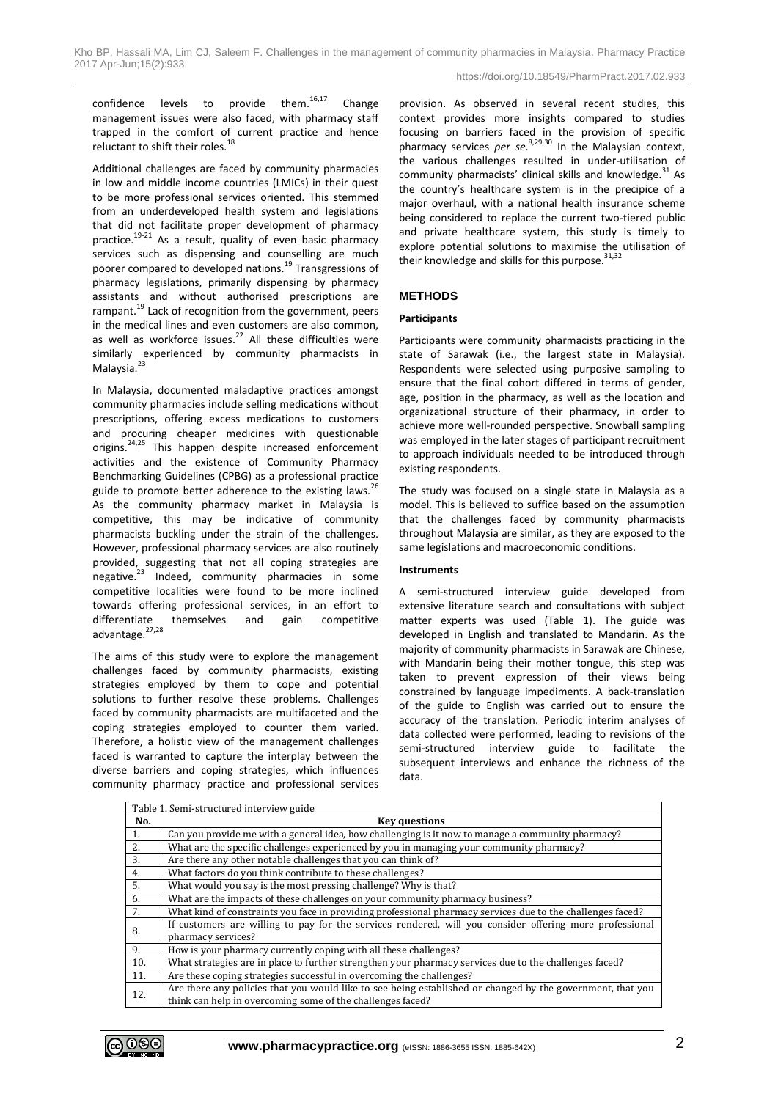confidence levels to provide them. $^{16,17}$  Change management issues were also faced, with pharmacy staff trapped in the comfort of current practice and hence reluctant to shift their roles.<sup>18</sup>

Additional challenges are faced by community pharmacies in low and middle income countries (LMICs) in their quest to be more professional services oriented. This stemmed from an underdeveloped health system and legislations that did not facilitate proper development of pharmacy practice.<sup>19-21</sup> As a result, quality of even basic pharmacy services such as dispensing and counselling are much poorer compared to developed nations.<sup>19</sup> Transgressions of pharmacy legislations, primarily dispensing by pharmacy assistants and without authorised prescriptions are rampant.<sup>19</sup> Lack of recognition from the government, peers in the medical lines and even customers are also common, as well as workforce issues.<sup>22</sup> All these difficulties were similarly experienced by community pharmacists in Malaysia.<sup>23</sup>

In Malaysia, documented maladaptive practices amongst community pharmacies include selling medications without prescriptions, offering excess medications to customers and procuring cheaper medicines with questionable origins.24,25 This happen despite increased enforcement activities and the existence of Community Pharmacy Benchmarking Guidelines (CPBG) as a professional practice guide to promote better adherence to the existing laws.<sup>26</sup> As the community pharmacy market in Malaysia is competitive, this may be indicative of community pharmacists buckling under the strain of the challenges. However, professional pharmacy services are also routinely provided, suggesting that not all coping strategies are negative. <sup>23</sup> Indeed, community pharmacies in some competitive localities were found to be more inclined towards offering professional services, in an effort to differentiate themselves and gain competitive advantage.<sup>27,28</sup>

The aims of this study were to explore the management challenges faced by community pharmacists, existing strategies employed by them to cope and potential solutions to further resolve these problems. Challenges faced by community pharmacists are multifaceted and the coping strategies employed to counter them varied. Therefore, a holistic view of the management challenges faced is warranted to capture the interplay between the diverse barriers and coping strategies, which influences community pharmacy practice and professional services provision. As observed in several recent studies, this context provides more insights compared to studies focusing on barriers faced in the provision of specific pharmacy services *per se*. 8,29,30 In the Malaysian context, the various challenges resulted in under-utilisation of community pharmacists' clinical skills and knowledge.<sup>31</sup> As community pharmacists' clinical skills and knowledge.<sup>31</sup> the country's healthcare system is in the precipice of a major overhaul, with a national health insurance scheme being considered to replace the current two-tiered public and private healthcare system, this study is timely to explore potential solutions to maximise the utilisation of their knowledge and skills for this purpose.  $31,32$ 

## **METHODS**

## **Participants**

Participants were community pharmacists practicing in the state of Sarawak (i.e., the largest state in Malaysia). Respondents were selected using purposive sampling to ensure that the final cohort differed in terms of gender, age, position in the pharmacy, as well as the location and organizational structure of their pharmacy, in order to achieve more well-rounded perspective. Snowball sampling was employed in the later stages of participant recruitment to approach individuals needed to be introduced through existing respondents.

The study was focused on a single state in Malaysia as a model. This is believed to suffice based on the assumption that the challenges faced by community pharmacists throughout Malaysia are similar, as they are exposed to the same legislations and macroeconomic conditions.

#### **Instruments**

A semi-structured interview guide developed from extensive literature search and consultations with subject matter experts was used (Table 1). The guide was developed in English and translated to Mandarin. As the majority of community pharmacists in Sarawak are Chinese, with Mandarin being their mother tongue, this step was taken to prevent expression of their views being constrained by language impediments. A back-translation of the guide to English was carried out to ensure the accuracy of the translation. Periodic interim analyses of data collected were performed, leading to revisions of the semi-structured interview guide to facilitate the subsequent interviews and enhance the richness of the data.

| Table 1. Semi-structured interview guide |                                                                                                            |  |
|------------------------------------------|------------------------------------------------------------------------------------------------------------|--|
| No.                                      | <b>Key questions</b>                                                                                       |  |
|                                          | Can you provide me with a general idea, how challenging is it now to manage a community pharmacy?          |  |
| 2.                                       | What are the specific challenges experienced by you in managing your community pharmacy?                   |  |
| 3.                                       | Are there any other notable challenges that you can think of?                                              |  |
| 4.                                       | What factors do you think contribute to these challenges?                                                  |  |
| 5.                                       | What would you say is the most pressing challenge? Why is that?                                            |  |
| 6.                                       | What are the impacts of these challenges on your community pharmacy business?                              |  |
| 7.                                       | What kind of constraints you face in providing professional pharmacy services due to the challenges faced? |  |
| 8.                                       | If customers are willing to pay for the services rendered, will you consider offering more professional    |  |
|                                          | pharmacy services?                                                                                         |  |
| 9.                                       | How is your pharmacy currently coping with all these challenges?                                           |  |
| 10.                                      | What strategies are in place to further strengthen your pharmacy services due to the challenges faced?     |  |
| 11.                                      | Are these coping strategies successful in overcoming the challenges?                                       |  |
| 12.                                      | Are there any policies that you would like to see being established or changed by the government, that you |  |
|                                          | think can help in overcoming some of the challenges faced?                                                 |  |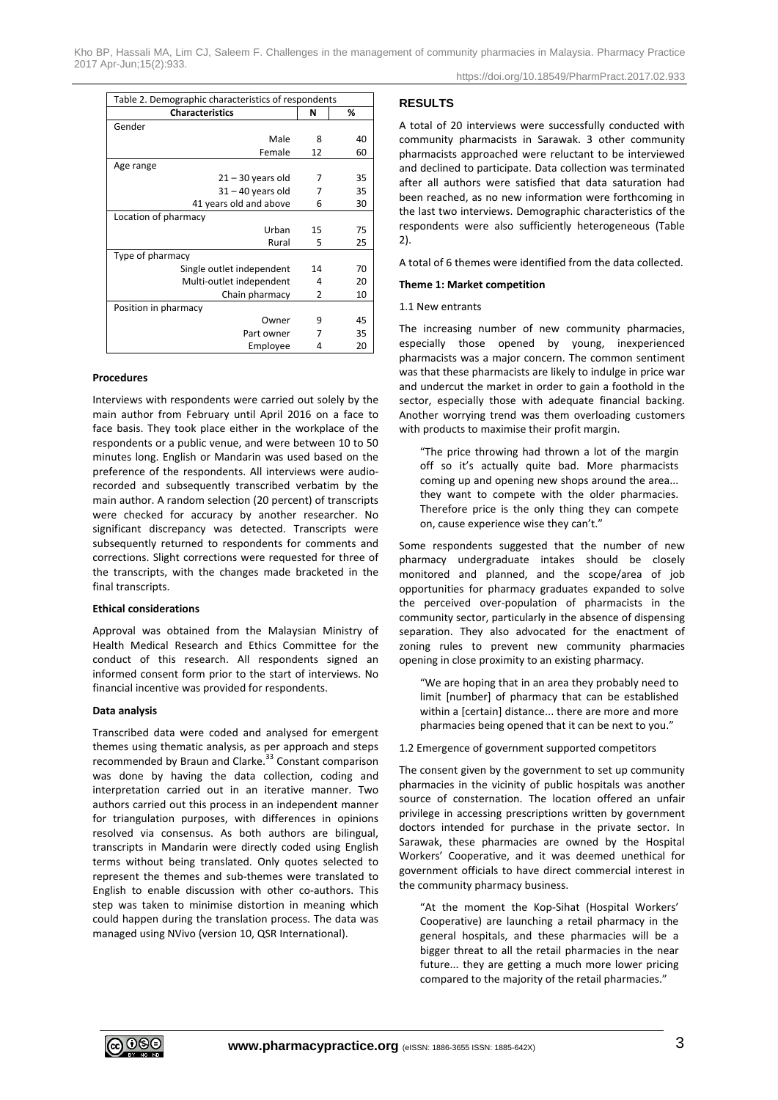| Table 2. Demographic characteristics of respondents |    |  |  |
|-----------------------------------------------------|----|--|--|
| N                                                   | %  |  |  |
| Gender                                              |    |  |  |
| 8                                                   | 40 |  |  |
| 12                                                  | 60 |  |  |
|                                                     |    |  |  |
| 7                                                   | 35 |  |  |
| 7                                                   | 35 |  |  |
| 6                                                   | 30 |  |  |
| Location of pharmacy                                |    |  |  |
| 15                                                  | 75 |  |  |
| 5                                                   | 25 |  |  |
| Type of pharmacy                                    |    |  |  |
| 14                                                  | 70 |  |  |
| 4                                                   | 20 |  |  |
| $\overline{2}$                                      | 10 |  |  |
| Position in pharmacy                                |    |  |  |
| 9                                                   | 45 |  |  |
| 7                                                   | 35 |  |  |
| 4                                                   | 20 |  |  |
|                                                     |    |  |  |

## **Procedures**

Interviews with respondents were carried out solely by the main author from February until April 2016 on a face to face basis. They took place either in the workplace of the respondents or a public venue, and were between 10 to 50 minutes long. English or Mandarin was used based on the preference of the respondents. All interviews were audiorecorded and subsequently transcribed verbatim by the main author. A random selection (20 percent) of transcripts were checked for accuracy by another researcher. No significant discrepancy was detected. Transcripts were subsequently returned to respondents for comments and corrections. Slight corrections were requested for three of the transcripts, with the changes made bracketed in the final transcripts.

### **Ethical considerations**

Approval was obtained from the Malaysian Ministry of Health Medical Research and Ethics Committee for the conduct of this research. All respondents signed an informed consent form prior to the start of interviews. No financial incentive was provided for respondents.

#### **Data analysis**

Transcribed data were coded and analysed for emergent themes using thematic analysis, as per approach and steps recommended by Braun and Clarke.<sup>33</sup> Constant comparison was done by having the data collection, coding and interpretation carried out in an iterative manner. Two authors carried out this process in an independent manner for triangulation purposes, with differences in opinions resolved via consensus. As both authors are bilingual, transcripts in Mandarin were directly coded using English terms without being translated. Only quotes selected to represent the themes and sub-themes were translated to English to enable discussion with other co-authors. This step was taken to minimise distortion in meaning which could happen during the translation process. The data was managed using NVivo (version 10, QSR International).

#### **RESULTS**

A total of 20 interviews were successfully conducted with community pharmacists in Sarawak. 3 other community pharmacists approached were reluctant to be interviewed and declined to participate. Data collection was terminated after all authors were satisfied that data saturation had been reached, as no new information were forthcoming in the last two interviews. Demographic characteristics of the respondents were also sufficiently heterogeneous (Table 2).

A total of 6 themes were identified from the data collected.

#### **Theme 1: Market competition**

#### 1.1 New entrants

The increasing number of new community pharmacies, especially those opened by young, inexperienced pharmacists was a major concern. The common sentiment was that these pharmacists are likely to indulge in price war and undercut the market in order to gain a foothold in the sector, especially those with adequate financial backing. Another worrying trend was them overloading customers with products to maximise their profit margin.

"The price throwing had thrown a lot of the margin off so it's actually quite bad. More pharmacists coming up and opening new shops around the area... they want to compete with the older pharmacies. Therefore price is the only thing they can compete on, cause experience wise they can't."

Some respondents suggested that the number of new pharmacy undergraduate intakes should be closely monitored and planned, and the scope/area of job opportunities for pharmacy graduates expanded to solve the perceived over-population of pharmacists in the community sector, particularly in the absence of dispensing separation. They also advocated for the enactment of zoning rules to prevent new community pharmacies opening in close proximity to an existing pharmacy.

"We are hoping that in an area they probably need to limit [number] of pharmacy that can be established within a *[certain]* distance... there are more and more pharmacies being opened that it can be next to you."

### 1.2 Emergence of government supported competitors

The consent given by the government to set up community pharmacies in the vicinity of public hospitals was another source of consternation. The location offered an unfair privilege in accessing prescriptions written by government doctors intended for purchase in the private sector. In Sarawak, these pharmacies are owned by the Hospital Workers' Cooperative, and it was deemed unethical for government officials to have direct commercial interest in the community pharmacy business.

"At the moment the Kop-Sihat (Hospital Workers' Cooperative) are launching a retail pharmacy in the general hospitals, and these pharmacies will be a bigger threat to all the retail pharmacies in the near future... they are getting a much more lower pricing compared to the majority of the retail pharmacies."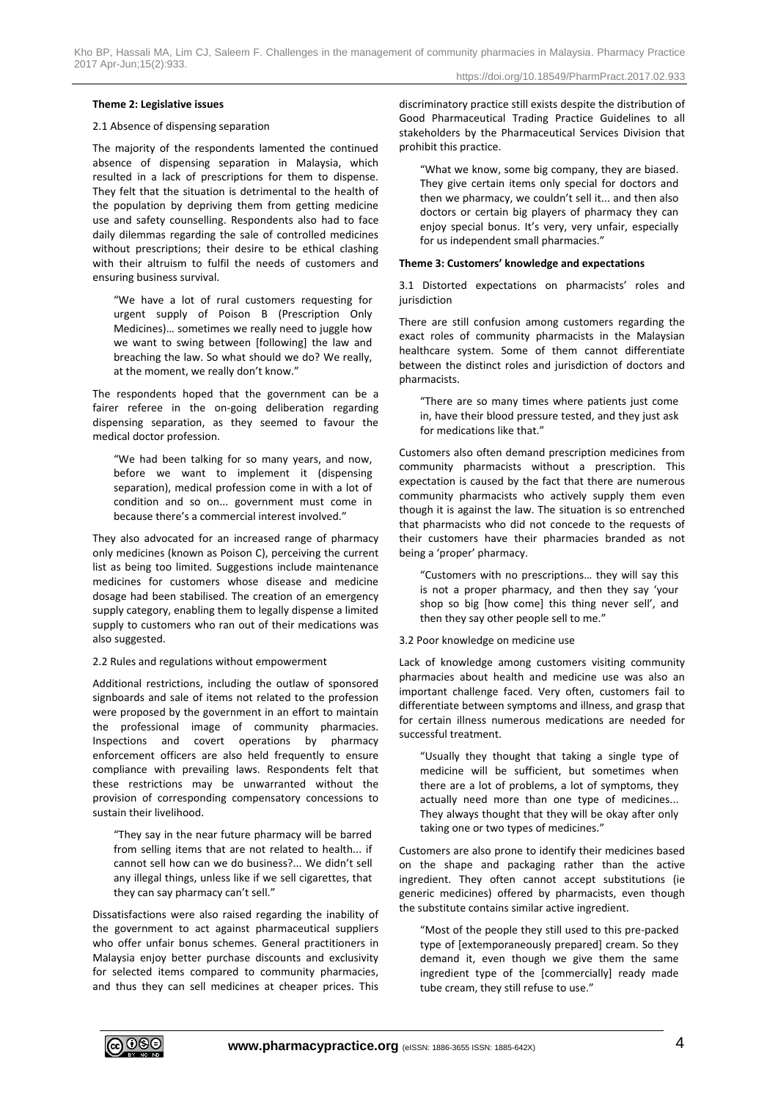Kho BP, Hassali MA, Lim CJ, Saleem F. Challenges in the management of community pharmacies in Malaysia. Pharmacy Practice 2017 Apr-Jun;15(2):933.

#### **Theme 2: Legislative issues**

#### 2.1 Absence of dispensing separation

The majority of the respondents lamented the continued absence of dispensing separation in Malaysia, which resulted in a lack of prescriptions for them to dispense. They felt that the situation is detrimental to the health of the population by depriving them from getting medicine use and safety counselling. Respondents also had to face daily dilemmas regarding the sale of controlled medicines without prescriptions; their desire to be ethical clashing with their altruism to fulfil the needs of customers and ensuring business survival.

"We have a lot of rural customers requesting for urgent supply of Poison B (Prescription Only Medicines)… sometimes we really need to juggle how we want to swing between [following] the law and breaching the law. So what should we do? We really, at the moment, we really don't know."

The respondents hoped that the government can be a fairer referee in the on-going deliberation regarding dispensing separation, as they seemed to favour the medical doctor profession.

"We had been talking for so many years, and now, before we want to implement it (dispensing separation), medical profession come in with a lot of condition and so on... government must come in because there's a commercial interest involved."

They also advocated for an increased range of pharmacy only medicines (known as Poison C), perceiving the current list as being too limited. Suggestions include maintenance medicines for customers whose disease and medicine dosage had been stabilised. The creation of an emergency supply category, enabling them to legally dispense a limited supply to customers who ran out of their medications was also suggested.

#### 2.2 Rules and regulations without empowerment

Additional restrictions, including the outlaw of sponsored signboards and sale of items not related to the profession were proposed by the government in an effort to maintain the professional image of community pharmacies. Inspections and covert operations by pharmacy enforcement officers are also held frequently to ensure compliance with prevailing laws. Respondents felt that these restrictions may be unwarranted without the provision of corresponding compensatory concessions to sustain their livelihood.

"They say in the near future pharmacy will be barred from selling items that are not related to health... if cannot sell how can we do business?... We didn't sell any illegal things, unless like if we sell cigarettes, that they can say pharmacy can't sell."

Dissatisfactions were also raised regarding the inability of the government to act against pharmaceutical suppliers who offer unfair bonus schemes. General practitioners in Malaysia enjoy better purchase discounts and exclusivity for selected items compared to community pharmacies, and thus they can sell medicines at cheaper prices. This discriminatory practice still exists despite the distribution of Good Pharmaceutical Trading Practice Guidelines to all stakeholders by the Pharmaceutical Services Division that prohibit this practice.

"What we know, some big company, they are biased. They give certain items only special for doctors and then we pharmacy, we couldn't sell it... and then also doctors or certain big players of pharmacy they can enjoy special bonus. It's very, very unfair, especially for us independent small pharmacies."

#### **Theme 3: Customers' knowledge and expectations**

3.1 Distorted expectations on pharmacists' roles and jurisdiction

There are still confusion among customers regarding the exact roles of community pharmacists in the Malaysian healthcare system. Some of them cannot differentiate between the distinct roles and jurisdiction of doctors and pharmacists.

"There are so many times where patients just come in, have their blood pressure tested, and they just ask for medications like that."

Customers also often demand prescription medicines from community pharmacists without a prescription. This expectation is caused by the fact that there are numerous community pharmacists who actively supply them even though it is against the law. The situation is so entrenched that pharmacists who did not concede to the requests of their customers have their pharmacies branded as not being a 'proper' pharmacy.

"Customers with no prescriptions… they will say this is not a proper pharmacy, and then they say 'your shop so big [how come] this thing never sell', and then they say other people sell to me."

3.2 Poor knowledge on medicine use

Lack of knowledge among customers visiting community pharmacies about health and medicine use was also an important challenge faced. Very often, customers fail to differentiate between symptoms and illness, and grasp that for certain illness numerous medications are needed for successful treatment.

"Usually they thought that taking a single type of medicine will be sufficient, but sometimes when there are a lot of problems, a lot of symptoms, they actually need more than one type of medicines... They always thought that they will be okay after only taking one or two types of medicines."

Customers are also prone to identify their medicines based on the shape and packaging rather than the active ingredient. They often cannot accept substitutions (ie generic medicines) offered by pharmacists, even though the substitute contains similar active ingredient.

"Most of the people they still used to this pre-packed type of [extemporaneously prepared] cream. So they demand it, even though we give them the same ingredient type of the [commercially] ready made tube cream, they still refuse to use."

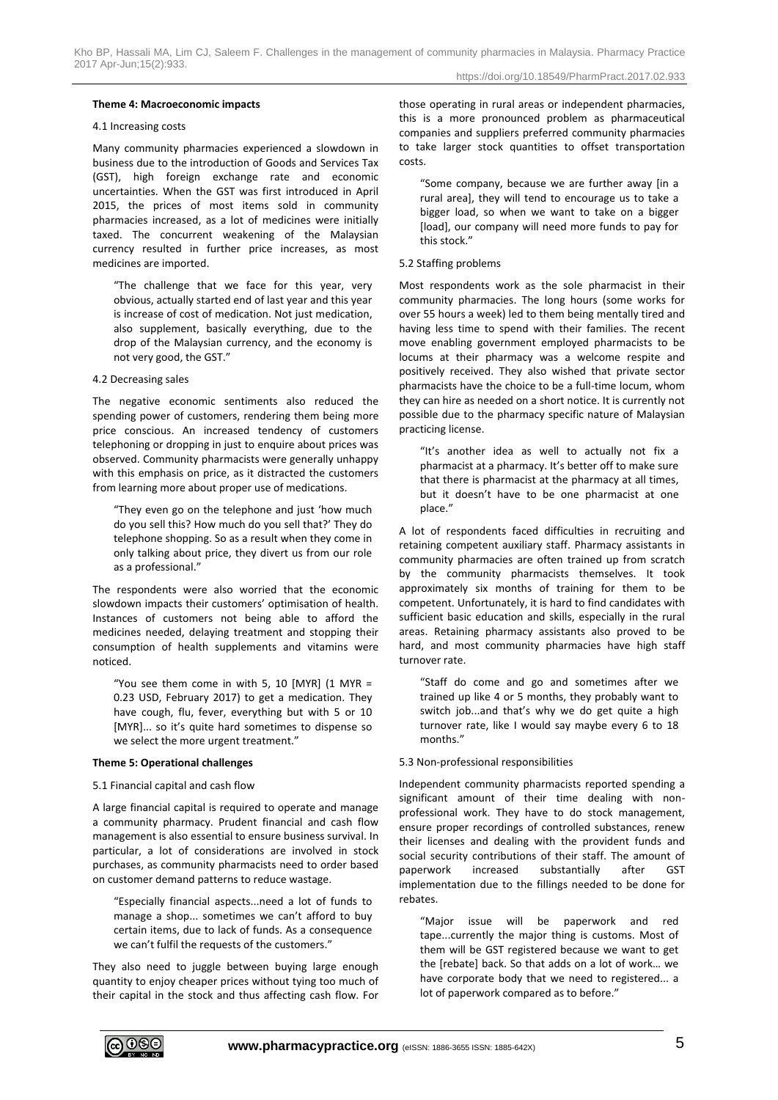#### https://doi.org/10.18549/PharmPract.2017.02.933

#### **Theme 4: Macroeconomic impacts**

#### 4.1 Increasing costs

Many community pharmacies experienced a slowdown in business due to the introduction of Goods and Services Tax (GST), high foreign exchange rate and economic uncertainties. When the GST was first introduced in April 2015, the prices of most items sold in community pharmacies increased, as a lot of medicines were initially taxed. The concurrent weakening of the Malaysian currency resulted in further price increases, as most medicines are imported.

"The challenge that we face for this year, very obvious, actually started end of last year and this year is increase of cost of medication. Not just medication, also supplement, basically everything, due to the drop of the Malaysian currency, and the economy is not very good, the GST."

## 4.2 Decreasing sales

The negative economic sentiments also reduced the spending power of customers, rendering them being more price conscious. An increased tendency of customers telephoning or dropping in just to enquire about prices was observed. Community pharmacists were generally unhappy with this emphasis on price, as it distracted the customers from learning more about proper use of medications.

"They even go on the telephone and just 'how much do you sell this? How much do you sell that?' They do telephone shopping. So as a result when they come in only talking about price, they divert us from our role as a professional."

The respondents were also worried that the economic slowdown impacts their customers' optimisation of health. Instances of customers not being able to afford the medicines needed, delaying treatment and stopping their consumption of health supplements and vitamins were noticed.

"You see them come in with 5, 10 [MYR] (1 MYR = 0.23 USD, February 2017) to get a medication. They have cough, flu, fever, everything but with 5 or 10 [MYR]... so it's quite hard sometimes to dispense so we select the more urgent treatment."

#### **Theme 5: Operational challenges**

#### 5.1 Financial capital and cash flow

A large financial capital is required to operate and manage a community pharmacy. Prudent financial and cash flow management is also essential to ensure business survival. In particular, a lot of considerations are involved in stock purchases, as community pharmacists need to order based on customer demand patterns to reduce wastage.

"Especially financial aspects...need a lot of funds to manage a shop... sometimes we can't afford to buy certain items, due to lack of funds. As a consequence we can't fulfil the requests of the customers."

They also need to juggle between buying large enough quantity to enjoy cheaper prices without tying too much of their capital in the stock and thus affecting cash flow. For those operating in rural areas or independent pharmacies, this is a more pronounced problem as pharmaceutical companies and suppliers preferred community pharmacies to take larger stock quantities to offset transportation costs.

"Some company, because we are further away [in a rural area], they will tend to encourage us to take a bigger load, so when we want to take on a bigger [load], our company will need more funds to pay for this stock."

## 5.2 Staffing problems

Most respondents work as the sole pharmacist in their community pharmacies. The long hours (some works for over 55 hours a week) led to them being mentally tired and having less time to spend with their families. The recent move enabling government employed pharmacists to be locums at their pharmacy was a welcome respite and positively received. They also wished that private sector pharmacists have the choice to be a full-time locum, whom they can hire as needed on a short notice. It is currently not possible due to the pharmacy specific nature of Malaysian practicing license.

"It's another idea as well to actually not fix a pharmacist at a pharmacy. It's better off to make sure that there is pharmacist at the pharmacy at all times, but it doesn't have to be one pharmacist at one place."

A lot of respondents faced difficulties in recruiting and retaining competent auxiliary staff. Pharmacy assistants in community pharmacies are often trained up from scratch by the community pharmacists themselves. It took approximately six months of training for them to be competent. Unfortunately, it is hard to find candidates with sufficient basic education and skills, especially in the rural areas. Retaining pharmacy assistants also proved to be hard, and most community pharmacies have high staff turnover rate.

"Staff do come and go and sometimes after we trained up like 4 or 5 months, they probably want to switch job...and that's why we do get quite a high turnover rate, like I would say maybe every 6 to 18 months."

## 5.3 Non-professional responsibilities

Independent community pharmacists reported spending a significant amount of their time dealing with nonprofessional work. They have to do stock management, ensure proper recordings of controlled substances, renew their licenses and dealing with the provident funds and social security contributions of their staff. The amount of paperwork increased substantially after GST implementation due to the fillings needed to be done for rebates.

"Major issue will be paperwork and red tape...currently the major thing is customs. Most of them will be GST registered because we want to get the [rebate] back. So that adds on a lot of work… we have corporate body that we need to registered... a lot of paperwork compared as to before."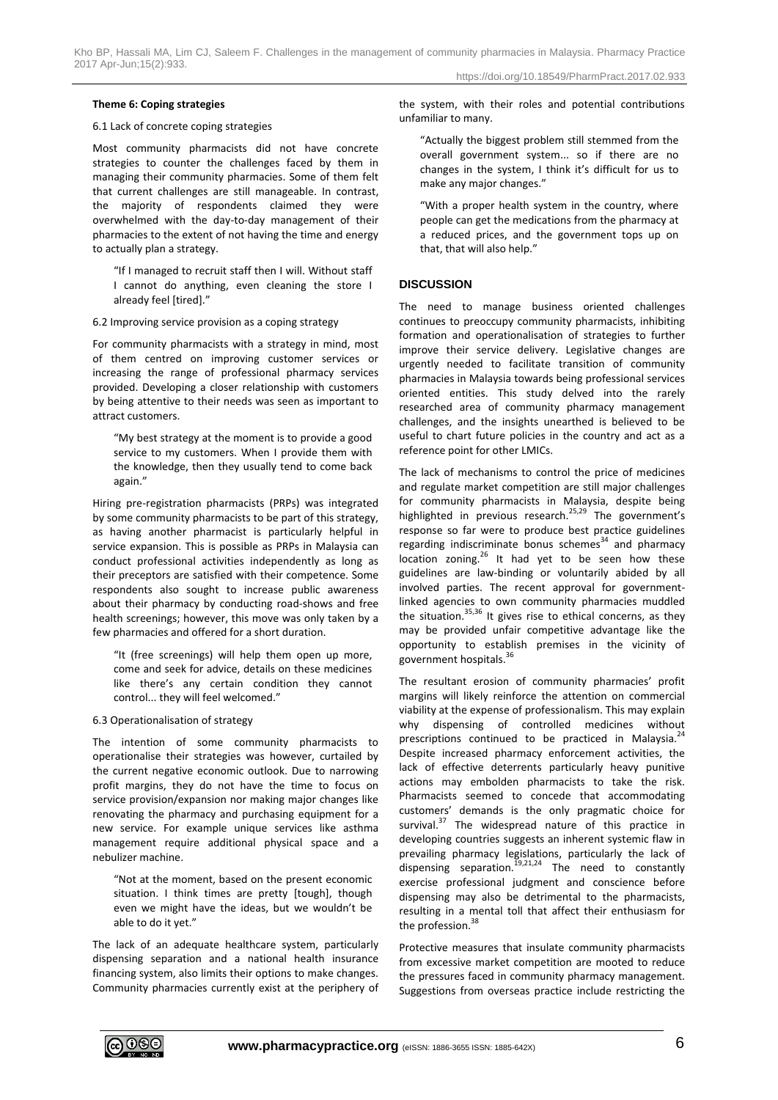Kho BP, Hassali MA, Lim CJ, Saleem F. Challenges in the management of community pharmacies in Malaysia. Pharmacy Practice 2017 Apr-Jun;15(2):933.

#### **Theme 6: Coping strategies**

#### 6.1 Lack of concrete coping strategies

Most community pharmacists did not have concrete strategies to counter the challenges faced by them in managing their community pharmacies. Some of them felt that current challenges are still manageable. In contrast, the majority of respondents claimed they were overwhelmed with the day-to-day management of their pharmacies to the extent of not having the time and energy to actually plan a strategy.

"If I managed to recruit staff then I will. Without staff I cannot do anything, even cleaning the store I already feel [tired]."

#### 6.2 Improving service provision as a coping strategy

For community pharmacists with a strategy in mind, most of them centred on improving customer services or increasing the range of professional pharmacy services provided. Developing a closer relationship with customers by being attentive to their needs was seen as important to attract customers.

"My best strategy at the moment is to provide a good service to my customers. When I provide them with the knowledge, then they usually tend to come back again."

Hiring pre-registration pharmacists (PRPs) was integrated by some community pharmacists to be part of this strategy, as having another pharmacist is particularly helpful in service expansion. This is possible as PRPs in Malaysia can conduct professional activities independently as long as their preceptors are satisfied with their competence. Some respondents also sought to increase public awareness about their pharmacy by conducting road-shows and free health screenings; however, this move was only taken by a few pharmacies and offered for a short duration.

"It (free screenings) will help them open up more, come and seek for advice, details on these medicines like there's any certain condition they cannot control... they will feel welcomed."

## 6.3 Operationalisation of strategy

The intention of some community pharmacists to operationalise their strategies was however, curtailed by the current negative economic outlook. Due to narrowing profit margins, they do not have the time to focus on service provision/expansion nor making major changes like renovating the pharmacy and purchasing equipment for a new service. For example unique services like asthma management require additional physical space and a nebulizer machine.

"Not at the moment, based on the present economic situation. I think times are pretty [tough], though even we might have the ideas, but we wouldn't be able to do it yet."

The lack of an adequate healthcare system, particularly dispensing separation and a national health insurance financing system, also limits their options to make changes. Community pharmacies currently exist at the periphery of the system, with their roles and potential contributions unfamiliar to many.

"Actually the biggest problem still stemmed from the overall government system... so if there are no changes in the system, I think it's difficult for us to make any major changes."

"With a proper health system in the country, where people can get the medications from the pharmacy at a reduced prices, and the government tops up on that, that will also help."

## **DISCUSSION**

The need to manage business oriented challenges continues to preoccupy community pharmacists, inhibiting formation and operationalisation of strategies to further improve their service delivery. Legislative changes are urgently needed to facilitate transition of community pharmacies in Malaysia towards being professional services oriented entities. This study delved into the rarely researched area of community pharmacy management challenges, and the insights unearthed is believed to be useful to chart future policies in the country and act as a reference point for other LMICs.

The lack of mechanisms to control the price of medicines and regulate market competition are still major challenges for community pharmacists in Malaysia, despite being highlighted in previous research.<sup>25,29</sup> The government's response so far were to produce best practice guidelines regarding indiscriminate bonus schemes<sup>34</sup> and pharmacy location zoning. $^{26}$  It had yet to be seen how these guidelines are law-binding or voluntarily abided by all involved parties. The recent approval for governmentlinked agencies to own community pharmacies muddled the situation. $35,36$  It gives rise to ethical concerns, as they may be provided unfair competitive advantage like the opportunity to establish premises in the vicinity of government hospitals.<sup>36</sup>

The resultant erosion of community pharmacies' profit margins will likely reinforce the attention on commercial viability at the expense of professionalism. This may explain why dispensing of controlled medicines without prescriptions continued to be practiced in Malaysia.<sup>24</sup> Despite increased pharmacy enforcement activities, the lack of effective deterrents particularly heavy punitive actions may embolden pharmacists to take the risk. Pharmacists seemed to concede that accommodating customers' demands is the only pragmatic choice for survival.<sup>37</sup> The widespread nature of this practice in developing countries suggests an inherent systemic flaw in prevailing pharmacy legislations, particularly the lack of dispensing separation.<sup>19,21,24</sup> The need to constantly exercise professional judgment and conscience before dispensing may also be detrimental to the pharmacists, resulting in a mental toll that affect their enthusiasm for the profession.<sup>38</sup>

Protective measures that insulate community pharmacists from excessive market competition are mooted to reduce the pressures faced in community pharmacy management. Suggestions from overseas practice include restricting the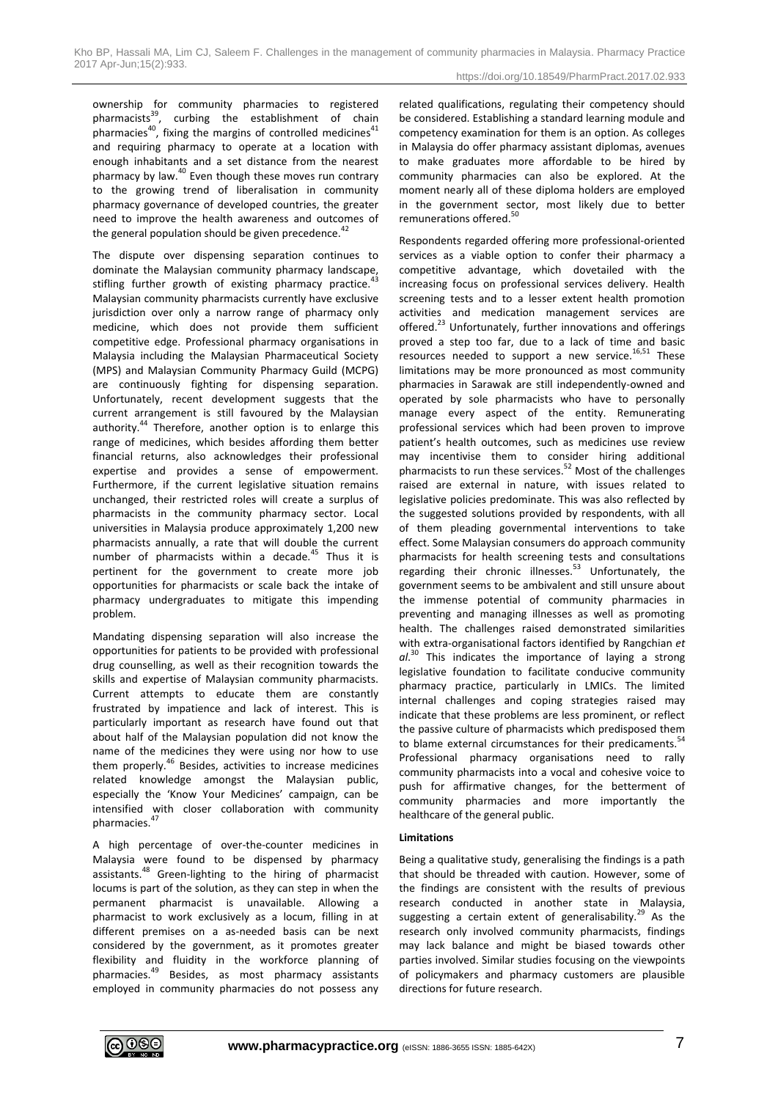ownership for community pharmacies to registered pharmacists<sup>39</sup>, curbing the establishment of chain pharmacies<sup>40</sup>, fixing the margins of controlled medicines<sup>41</sup> and requiring pharmacy to operate at a location with enough inhabitants and a set distance from the nearest pharmacy by law.<sup>40</sup> Even though these moves run contrary to the growing trend of liberalisation in community pharmacy governance of developed countries, the greater need to improve the health awareness and outcomes of the general population should be given precedence.<sup>42</sup>

The dispute over dispensing separation continues to dominate the Malaysian community pharmacy landscape, stifling further growth of existing pharmacy practice. $43$ Malaysian community pharmacists currently have exclusive jurisdiction over only a narrow range of pharmacy only medicine, which does not provide them sufficient competitive edge. Professional pharmacy organisations in Malaysia including the Malaysian Pharmaceutical Society (MPS) and Malaysian Community Pharmacy Guild (MCPG) are continuously fighting for dispensing separation. Unfortunately, recent development suggests that the current arrangement is still favoured by the Malaysian authority.<sup>44</sup> Therefore, another option is to enlarge this range of medicines, which besides affording them better financial returns, also acknowledges their professional expertise and provides a sense of empowerment. Furthermore, if the current legislative situation remains unchanged, their restricted roles will create a surplus of pharmacists in the community pharmacy sector. Local universities in Malaysia produce approximately 1,200 new pharmacists annually, a rate that will double the current number of pharmacists within a decade.<sup>45</sup> Thus it is pertinent for the government to create more job opportunities for pharmacists or scale back the intake of pharmacy undergraduates to mitigate this impending problem.

Mandating dispensing separation will also increase the opportunities for patients to be provided with professional drug counselling, as well as their recognition towards the skills and expertise of Malaysian community pharmacists. Current attempts to educate them are constantly frustrated by impatience and lack of interest. This is particularly important as research have found out that about half of the Malaysian population did not know the name of the medicines they were using nor how to use them properly.<sup>46</sup> Besides, activities to increase medicines related knowledge amongst the Malaysian public, especially the 'Know Your Medicines' campaign, can be intensified with closer collaboration with community pharmacies.<sup>4</sup>

A high percentage of over-the-counter medicines in Malaysia were found to be dispensed by pharmacy assistants.<sup>48</sup> Green-lighting to the hiring of pharmacist locums is part of the solution, as they can step in when the permanent pharmacist is unavailable. Allowing a pharmacist to work exclusively as a locum, filling in at different premises on a as-needed basis can be next considered by the government, as it promotes greater flexibility and fluidity in the workforce planning of pharmacies.<sup>49</sup> Besides, as most pharmacy assistants employed in community pharmacies do not possess any related qualifications, regulating their competency should be considered. Establishing a standard learning module and competency examination for them is an option. As colleges in Malaysia do offer pharmacy assistant diplomas, avenues to make graduates more affordable to be hired by community pharmacies can also be explored. At the moment nearly all of these diploma holders are employed in the government sector, most likely due to better remunerations offered.<sup>50</sup>

Respondents regarded offering more professional-oriented services as a viable option to confer their pharmacy a competitive advantage, which dovetailed with the increasing focus on professional services delivery. Health screening tests and to a lesser extent health promotion activities and medication management services are offered.<sup>23</sup> Unfortunately, further innovations and offerings proved a step too far, due to a lack of time and basic resources needed to support a new service. $^{16,51}$  These limitations may be more pronounced as most community pharmacies in Sarawak are still independently-owned and operated by sole pharmacists who have to personally manage every aspect of the entity. Remunerating professional services which had been proven to improve patient's health outcomes, such as medicines use review may incentivise them to consider hiring additional pharmacists to run these services.<sup>52</sup> Most of the challenges raised are external in nature, with issues related to legislative policies predominate. This was also reflected by the suggested solutions provided by respondents, with all of them pleading governmental interventions to take effect. Some Malaysian consumers do approach community pharmacists for health screening tests and consultations regarding their chronic illnesses. $53$  Unfortunately, the government seems to be ambivalent and still unsure about the immense potential of community pharmacies in preventing and managing illnesses as well as promoting health. The challenges raised demonstrated similarities with extra-organisational factors identified by Rangchian *et al*. <sup>30</sup> This indicates the importance of laying a strong legislative foundation to facilitate conducive community pharmacy practice, particularly in LMICs. The limited internal challenges and coping strategies raised may indicate that these problems are less prominent, or reflect the passive culture of pharmacists which predisposed them to blame external circumstances for their predicaments.<sup>54</sup> Professional pharmacy organisations need to rally community pharmacists into a vocal and cohesive voice to push for affirmative changes, for the betterment of community pharmacies and more importantly the healthcare of the general public.

## **Limitations**

Being a qualitative study, generalising the findings is a path that should be threaded with caution. However, some of the findings are consistent with the results of previous research conducted in another state in Malaysia, suggesting a certain extent of generalisability.<sup>29</sup> As the research only involved community pharmacists, findings may lack balance and might be biased towards other parties involved. Similar studies focusing on the viewpoints of policymakers and pharmacy customers are plausible directions for future research.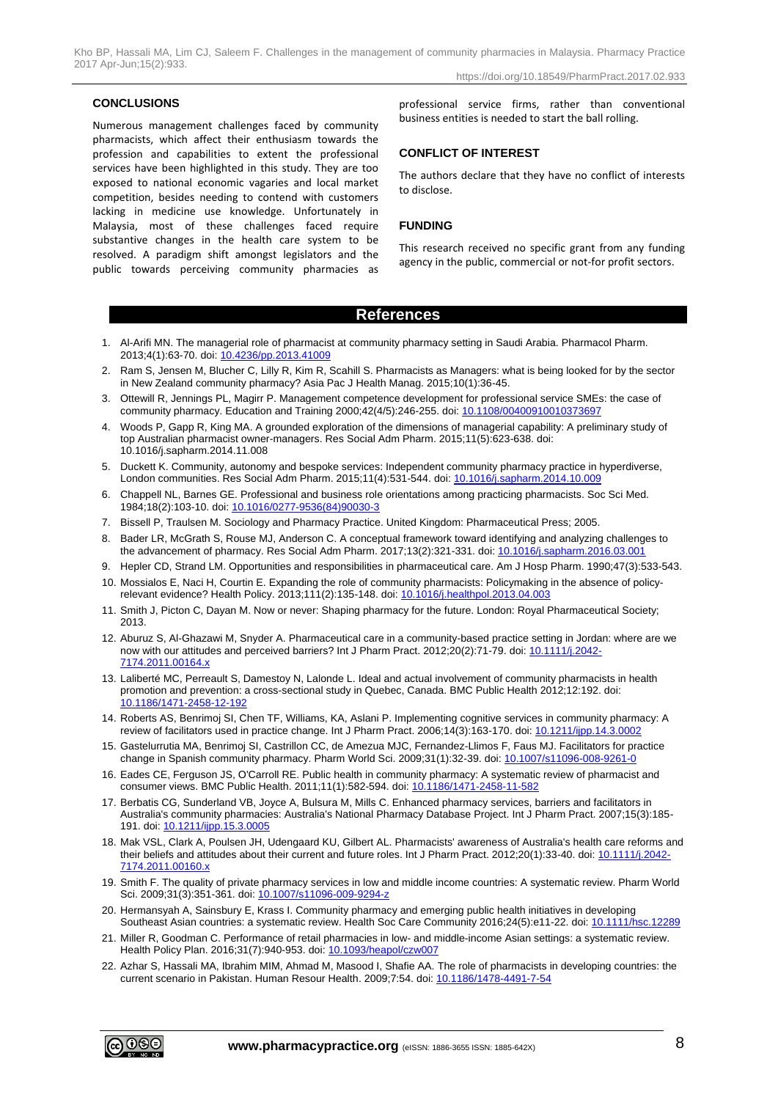Kho BP, Hassali MA, Lim CJ, Saleem F. Challenges in the management of community pharmacies in Malaysia. Pharmacy Practice 2017 Apr-Jun;15(2):933. https://doi.org/10.18549/PharmPract.2017.02.933

#### **CONCLUSIONS**

Numerous management challenges faced by community pharmacists, which affect their enthusiasm towards the profession and capabilities to extent the professional services have been highlighted in this study. They are too exposed to national economic vagaries and local market competition, besides needing to contend with customers lacking in medicine use knowledge. Unfortunately in Malaysia, most of these challenges faced require substantive changes in the health care system to be resolved. A paradigm shift amongst legislators and the public towards perceiving community pharmacies as professional service firms, rather than conventional business entities is needed to start the ball rolling.

#### **CONFLICT OF INTEREST**

The authors declare that they have no conflict of interests to disclose.

## **FUNDING**

This research received no specific grant from any funding agency in the public, commercial or not-for profit sectors.

## **References**

- 1. Al-Arifi MN. The managerial role of pharmacist at community pharmacy setting in Saudi Arabia. Pharmacol Pharm. 2013;4(1):63-70. doi[: 10.4236/pp.2013.41009](https://doi.org/10.4236/pp.2013.41009)
- 2. Ram S, Jensen M, Blucher C, Lilly R, Kim R, Scahill S. Pharmacists as Managers: what is being looked for by the sector in New Zealand community pharmacy? Asia Pac J Health Manag. 2015;10(1):36-45.
- 3. Ottewill R, Jennings PL, Magirr P. Management competence development for professional service SMEs: the case of community pharmacy. Education and Training 2000;42(4/5):246-255. doi[: 10.1108/00400910010373697](https://doi.org/10.1108/00400910010373697)
- 4. Woods P, Gapp R, King MA. A grounded exploration of the dimensions of managerial capability: A preliminary study of top Australian pharmacist owner-managers. Res Social Adm Pharm. 2015;11(5):623-638. doi: 10.1016/j.sapharm.2014.11.008
- 5. Duckett K. Community, autonomy and bespoke services: Independent community pharmacy practice in hyperdiverse, London communities. Res Social Adm Pharm. 2015;11(4):531-544. doi[: 10.1016/j.sapharm.2014.10.009](https://doi.org/10.1016/j.sapharm.2014.10.009)
- 6. Chappell NL, Barnes GE. Professional and business role orientations among practicing pharmacists. Soc Sci Med. 1984;18(2):103-10. doi[: 10.1016/0277-9536\(84\)90030-3](https://doi.org/10.1016/0277-9536(84)90030-3)
- 7. Bissell P, Traulsen M. Sociology and Pharmacy Practice. United Kingdom: Pharmaceutical Press; 2005.
- 8. Bader LR, McGrath S, Rouse MJ, Anderson C. A conceptual framework toward identifying and analyzing challenges to the advancement of pharmacy. Res Social Adm Pharm. 2017;13(2):321-331. doi: [10.1016/j.sapharm.2016.03.001](https://doi.org/10.1016/j.sapharm.2016.03.001)
- 9. Hepler CD, Strand LM. Opportunities and responsibilities in pharmaceutical care. Am J Hosp Pharm. 1990;47(3):533-543.
- 10. Mossialos E, Naci H, Courtin E. Expanding the role of community pharmacists: Policymaking in the absence of policyrelevant evidence? Health Policy. 2013;111(2):135-148. doi: [10.1016/j.healthpol.2013.04.003](https://doi.org/10.1016/j.healthpol.2013.04.003)
- 11. Smith J, Picton C, Dayan M. Now or never: Shaping pharmacy for the future. London: Royal Pharmaceutical Society; 2013.
- 12. Aburuz S, Al-Ghazawi M, Snyder A. Pharmaceutical care in a community-based practice setting in Jordan: where are we now with our attitudes and perceived barriers? Int J Pharm Pract. 2012;20(2):71-79. doi: [10.1111/j.2042-](https://doi.org/10.1111/j.2042-7174.2011.00164.x) [7174.2011.00164.x](https://doi.org/10.1111/j.2042-7174.2011.00164.x)
- 13. Laliberté MC, Perreault S, Damestoy N, Lalonde L. Ideal and actual involvement of community pharmacists in health promotion and prevention: a cross-sectional study in Quebec, Canada. BMC Public Health 2012;12:192. doi: [10.1186/1471-2458-12-192](https://doi.org/10.1186/1471-2458-12-192)
- 14. Roberts AS, Benrimoj SI, Chen TF, Williams, KA, Aslani P. Implementing cognitive services in community pharmacy: A review of facilitators used in practice change. Int J Pharm Pract. 2006;14(3):163-170. doi[: 10.1211/ijpp.14.3.0002](https://doi.org/10.1211/ijpp.14.3.0002)
- 15. Gastelurrutia MA, Benrimoj SI, Castrillon CC, de Amezua MJC, Fernandez-Llimos F, Faus MJ. Facilitators for practice change in Spanish community pharmacy. Pharm World Sci. 2009;31(1):32-39. doi: [10.1007/s11096-008-9261-0](https://doi.org/10.1007/s11096-008-9261-0)
- 16. Eades CE, Ferguson JS, O'Carroll RE. Public health in community pharmacy: A systematic review of pharmacist and consumer views. BMC Public Health. 2011;11(1):582-594. doi[: 10.1186/1471-2458-11-582](https://doi.org/10.1186/1471-2458-11-582)
- 17. Berbatis CG, Sunderland VB, Joyce A, Bulsura M, Mills C. Enhanced pharmacy services, barriers and facilitators in Australia's community pharmacies: Australia's National Pharmacy Database Project. Int J Pharm Pract. 2007;15(3):185- 191. doi: [10.1211/ijpp.15.3.0005](https://doi.org/10.1211/ijpp.15.3.0005)
- 18. Mak VSL, Clark A, Poulsen JH, Udengaard KU, Gilbert AL. Pharmacists' awareness of Australia's health care reforms and their beliefs and attitudes about their current and future roles. Int J Pharm Pract. 2012;20(1):33-40. doi[: 10.1111/j.2042-](https://doi.org/10.1111/j.2042-7174.2011.00160.x) [7174.2011.00160.x](https://doi.org/10.1111/j.2042-7174.2011.00160.x)
- 19. Smith F. The quality of private pharmacy services in low and middle income countries: A systematic review. Pharm World Sci. 2009;31(3):351-361. doi[: 10.1007/s11096-009-9294-z](https://doi.org/10.1007/s11096-009-9294-z)
- 20. Hermansyah A, Sainsbury E, Krass I. Community pharmacy and emerging public health initiatives in developing Southeast Asian countries: a systematic review. Health Soc Care Community 2016;24(5):e11-22. doi: [10.1111/hsc.12289](https://doi.org/10.1111/hsc.12289)
- 21. Miller R, Goodman C. Performance of retail pharmacies in low- and middle-income Asian settings: a systematic review. Health Policy Plan. 2016;31(7):940-953. doi[: 10.1093/heapol/czw007](https://doi.org/10.1093/heapol/czw007)
- 22. Azhar S, Hassali MA, Ibrahim MIM, Ahmad M, Masood I, Shafie AA. The role of pharmacists in developing countries: the current scenario in Pakistan. Human Resour Health. 2009;7:54. doi: [10.1186/1478-4491-7-54](https://doi.org/10.1186/1478-4491-7-54)

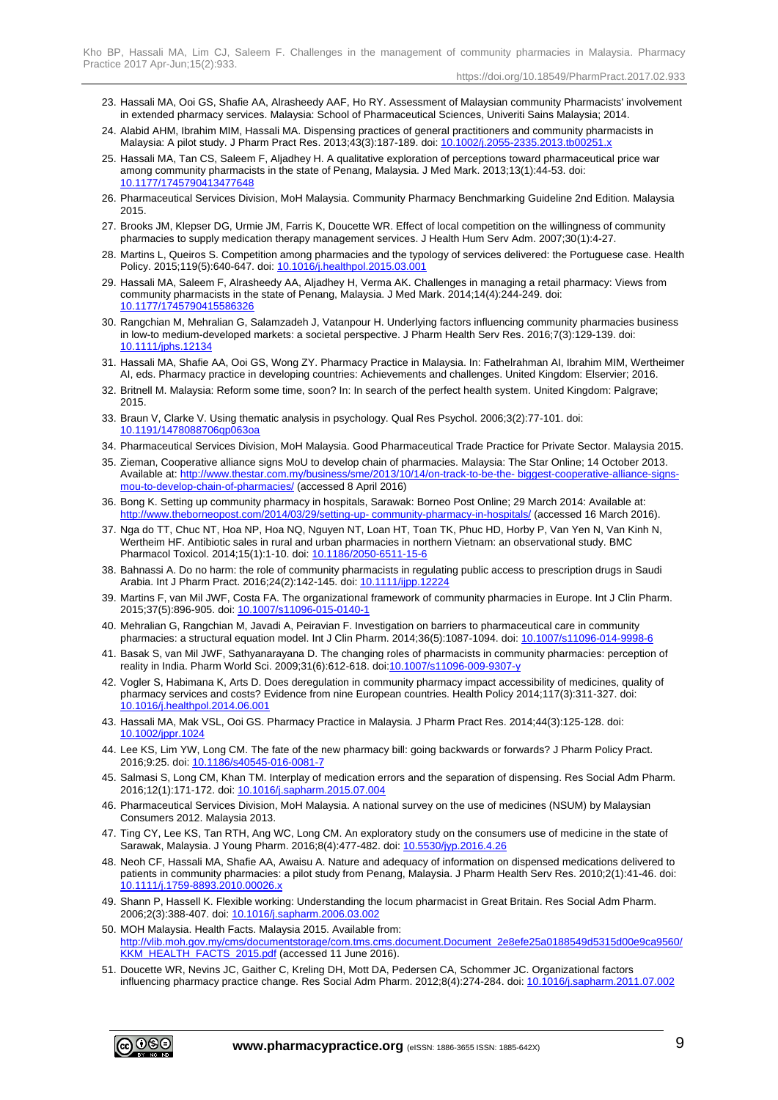- 23. Hassali MA, Ooi GS, Shafie AA, Alrasheedy AAF, Ho RY. Assessment of Malaysian community Pharmacists' involvement in extended pharmacy services. Malaysia: School of Pharmaceutical Sciences, Univeriti Sains Malaysia; 2014.
- 24. Alabid AHM, Ibrahim MIM, Hassali MA. Dispensing practices of general practitioners and community pharmacists in Malaysia: A pilot study. J Pharm Pract Res. 2013;43(3):187-189. doi[: 10.1002/j.2055-2335.2013.tb00251.x](https://doi.org/10.1002/j.2055-2335.2013.tb00251.x)
- 25. Hassali MA, Tan CS, Saleem F, Aljadhey H. A qualitative exploration of perceptions toward pharmaceutical price war among community pharmacists in the state of Penang, Malaysia. J Med Mark. 2013;13(1):44-53. doi: [10.1177/1745790413477648](https://doi.org/10.1177/1745790413477648)
- 26. Pharmaceutical Services Division, MoH Malaysia. Community Pharmacy Benchmarking Guideline 2nd Edition. Malaysia 2015.
- 27. Brooks JM, Klepser DG, Urmie JM, Farris K, Doucette WR. Effect of local competition on the willingness of community pharmacies to supply medication therapy management services. J Health Hum Serv Adm. 2007;30(1):4-27.
- 28. Martins L, Queiros S. Competition among pharmacies and the typology of services delivered: the Portuguese case. Health Policy. 2015;119(5):640-647. doi: 10.1016/j.healthpol.2015.03.0
- 29. Hassali MA, Saleem F, Alrasheedy AA, Aljadhey H, Verma AK. Challenges in managing a retail pharmacy: Views from community pharmacists in the state of Penang, Malaysia. J Med Mark. 2014;14(4):244-249. doi: [10.1177/1745790415586326](https://doi.org/10.1177/1745790415586326)
- 30. Rangchian M, Mehralian G, Salamzadeh J, Vatanpour H. Underlying factors influencing community pharmacies business in low-to medium-developed markets: a societal perspective. J Pharm Health Serv Res. 2016;7(3):129-139. doi: [10.1111/jphs.12134](https://doi.org/10.1111/jphs.12134)
- 31. Hassali MA, Shafie AA, Ooi GS, Wong ZY. Pharmacy Practice in Malaysia. In: Fathelrahman AI, Ibrahim MIM, Wertheimer AI, eds. Pharmacy practice in developing countries: Achievements and challenges. United Kingdom: Elservier; 2016.
- 32. Britnell M. Malaysia: Reform some time, soon? In: In search of the perfect health system. United Kingdom: Palgrave; 2015.
- 33. Braun V, Clarke V. Using thematic analysis in psychology. Qual Res Psychol. 2006;3(2):77-101. doi: [10.1191/1478088706qp063oa](https://doi.org/10.1191/1478088706qp063oa)
- 34. Pharmaceutical Services Division, MoH Malaysia. Good Pharmaceutical Trade Practice for Private Sector. Malaysia 2015.
- 35. Zieman, Cooperative alliance signs MoU to develop chain of pharmacies. Malaysia: The Star Online; 14 October 2013. Available at: [http://www.thestar.com.my/business/sme/2013/10/14/on-track-to-be-the-](http://www.thestar.com.my/business/sme/2013/10/14/on-track-to-be-the-%20biggest-cooperative-alliance-signs-mou-to-develop-chain-of-pharmacies/) biggest-cooperative-alliance-signs[mou-to-develop-chain-of-pharmacies/](http://www.thestar.com.my/business/sme/2013/10/14/on-track-to-be-the-%20biggest-cooperative-alliance-signs-mou-to-develop-chain-of-pharmacies/) (accessed 8 April 2016)
- 36. Bong K. Setting up community pharmacy in hospitals, Sarawak: Borneo Post Online; 29 March 2014: Available at: [http://www.theborneopost.com/2014/03/29/setting-up-](http://www.theborneopost.com/2014/03/29/setting-up-%20community-pharmacy-in-hospitals/) community-pharmacy-in-hospitals/ (accessed 16 March 2016).
- 37. Nga do TT, Chuc NT, Hoa NP, Hoa NQ, Nguyen NT, Loan HT, Toan TK, Phuc HD, Horby P, Van Yen N, Van Kinh N, Wertheim HF. Antibiotic sales in rural and urban pharmacies in northern Vietnam: an observational study. BMC Pharmacol Toxicol. 2014;15(1):1-10. doi: [10.1186/2050-6511-15-6](https://doi.org/10.1186/2050-6511-15-6)
- 38. Bahnassi A. Do no harm: the role of community pharmacists in regulating public access to prescription drugs in Saudi Arabia. Int J Pharm Pract. 2016;24(2):142-145. doi: [10.1111/ijpp.12224](https://doi.org/10.1111/ijpp.12224)
- 39. Martins F, van Mil JWF, Costa FA. The organizational framework of community pharmacies in Europe. Int J Clin Pharm. 2015;37(5):896-905. doi: [10.1007/s11096-015-0140-1](https://doi.org/10.1007/s11096-015-0140-1)
- 40. Mehralian G, Rangchian M, Javadi A, Peiravian F. Investigation on barriers to pharmaceutical care in community pharmacies: a structural equation model. Int J Clin Pharm. 2014;36(5):1087-1094. doi: 10.1007/s11096-014-9999
- 41. Basak S, van Mil JWF, Sathyanarayana D. The changing roles of pharmacists in community pharmacies: perception of reality in India. Pharm World Sci. 2009;31(6):612-618. doi[:10.1007/s11096-009-9307-y](https://doi.org/10.1007/s11096-009-9307-y)
- 42. Vogler S, Habimana K, Arts D. Does deregulation in community pharmacy impact accessibility of medicines, quality of pharmacy services and costs? Evidence from nine European countries. Health Policy 2014;117(3):311-327. doi: [10.1016/j.healthpol.2014.06.001](https://doi.org/10.1016/j.healthpol.2014.06.001)
- 43. Hassali MA, Mak VSL, Ooi GS. Pharmacy Practice in Malaysia. J Pharm Pract Res. 2014;44(3):125-128. doi: [10.1002/jppr.1024](https://doi.org/10.1002/jppr.1024)
- 44. Lee KS, Lim YW, Long CM. The fate of the new pharmacy bill: going backwards or forwards? J Pharm Policy Pract. 2016;9:25. doi[: 10.1186/s40545-016-0081-7](https://doi.org/10.1186/s40545-016-0081-7)
- 45. Salmasi S, Long CM, Khan TM. Interplay of medication errors and the separation of dispensing. Res Social Adm Pharm. 2016;12(1):171-172. doi: [10.1016/j.sapharm.2015.07.004](https://doi.org/10.1016/j.sapharm.2015.07.004)
- 46. Pharmaceutical Services Division, MoH Malaysia. A national survey on the use of medicines (NSUM) by Malaysian Consumers 2012. Malaysia 2013.
- 47. Ting CY, Lee KS, Tan RTH, Ang WC, Long CM. An exploratory study on the consumers use of medicine in the state of Sarawak, Malaysia. J Young Pharm. 2016;8(4):477-482. doi: [10.5530/jyp.2016.4.26](https://doi.org/10.5530/jyp.2016.4.26)
- 48. Neoh CF, Hassali MA, Shafie AA, Awaisu A. Nature and adequacy of information on dispensed medications delivered to patients in community pharmacies: a pilot study from Penang, Malaysia. J Pharm Health Serv Res. 2010;2(1):41-46. doi: [10.1111/j.1759-8893.2010.00026.x](https://doi.org/10.1111/j.1759-8893.2010.00026.x)
- 49. Shann P, Hassell K. Flexible working: Understanding the locum pharmacist in Great Britain. Res Social Adm Pharm. 2006;2(3):388-407. doi[: 10.1016/j.sapharm.2006.03.002](https://doi.org/10.1016/j.sapharm.2006.03.002)
- 50. MOH Malaysia. Health Facts. Malaysia 2015. Available from: [http://vlib.moh.gov.my/cms/documentstorage/com.tms.cms.document.Document\\_2e8efe25a0188549d5315d00e9ca9560/](http://vlib.moh.gov.my/cms/documentstorage/com.tms.cms.document.Document_2e8efe25a0188549d5315d00e9ca9560/KKM_HEALTH_FACTS_2015.pdf) [KKM\\_HEALTH\\_FACTS\\_2015.pdf](http://vlib.moh.gov.my/cms/documentstorage/com.tms.cms.document.Document_2e8efe25a0188549d5315d00e9ca9560/KKM_HEALTH_FACTS_2015.pdf) (accessed 11 June 2016).
- 51. Doucette WR, Nevins JC, Gaither C, Kreling DH, Mott DA, Pedersen CA, Schommer JC. Organizational factors influencing pharmacy practice change. Res Social Adm Pharm. 2012;8(4):274-284. doi[: 10.1016/j.sapharm.2011.07.002](https://doi.org/10.1016/j.sapharm.2011.07.002)